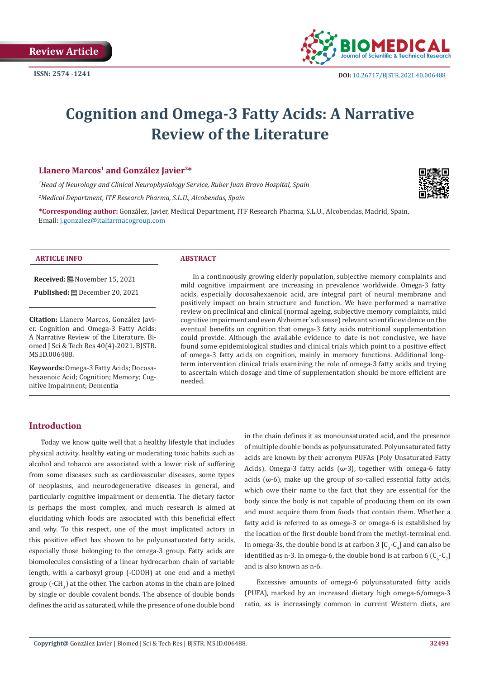

# **Cognition and Omega-3 Fatty Acids: A Narrative Review of the Literature**

# **Llanero Marcos1 and González Javier2\***

*1 Head of Neurology and Clinical Neurophysiology Service, Ruber Juan Bravo Hospital, Spain*

*2 Medical Department, ITF Research Pharma, S.L.U., Alcobendas, Spain*

**\*Corresponding author:** González, Javier, Medical Department, ITF Research Pharma, S.L.U., Alcobendas, Madrid, Spain, Email: j.gonzalez@italfarmacogroup.com



#### **ARTICLE INFO ABSTRACT**

**Received:** November 15, 2021 **Published:** December 20, 2021

**Citation:** Llanero Marcos, González Javier. Cognition and Omega-3 Fatty Acids: A Narrative Review of the Literature. Biomed J Sci & Tech Res 40(4)-2021. BJSTR. MS.ID.006488.

**Keywords:** Omega-3 Fatty Acids; Docosahexaenoic Acid; Cognition; Memory; Cognitive Impairment; Dementia

In a continuously growing elderly population, subjective memory complaints and mild cognitive impairment are increasing in prevalence worldwide. Omega-3 fatty acids, especially docosahexaenoic acid, are integral part of neural membrane and positively impact on brain structure and function. We have performed a narrative review on preclinical and clinical (normal ageing, subjective memory complaints, mild cognitive impairment and even Alzheimer´s disease) relevant scientific evidence on the eventual benefits on cognition that omega-3 fatty acids nutritional supplementation could provide. Although the available evidence to date is not conclusive, we have found some epidemiological studies and clinical trials which point to a positive effect of omega-3 fatty acids on cognition, mainly in memory functions. Additional longterm intervention clinical trials examining the role of omega-3 fatty acids and trying to ascertain which dosage and time of supplementation should be more efficient are needed.

# **Introduction**

Today we know quite well that a healthy lifestyle that includes physical activity, healthy eating or moderating toxic habits such as alcohol and tobacco are associated with a lower risk of suffering from some diseases such as cardiovascular diseases, some types of neoplasms, and neurodegenerative diseases in general, and particularly cognitive impairment or dementia. The dietary factor is perhaps the most complex, and much research is aimed at elucidating which foods are associated with this beneficial effect and why. To this respect, one of the most implicated actors in this positive effect has shown to be polyunsaturated fatty acids, especially those belonging to the omega-3 group. Fatty acids are biomolecules consisting of a linear hydrocarbon chain of variable length, with a carboxyl group (-COOH) at one end and a methyl group (-CH<sub>3</sub>) at the other. The carbon atoms in the chain are joined by single or double covalent bonds. The absence of double bonds defines the acid as saturated, while the presence of one double bond in the chain defines it as monounsaturated acid, and the presence of multiple double bonds as polyunsaturated. Polyunsaturated fatty acids are known by their acronym PUFAs (Poly Unsaturated Fatty Acids). Omega-3 fatty acids  $(\omega-3)$ , together with omega-6 fatty acids ( $\omega$ -6), make up the group of so-called essential fatty acids, which owe their name to the fact that they are essential for the body since the body is not capable of producing them on its own and must acquire them from foods that contain them. Whether a fatty acid is referred to as omega-3 or omega-6 is established by the location of the first double bond from the methyl-terminal end. In omega-3s, the double bond is at carbon  $3\,[\mathrm{C}_{3}\textrm{-}\mathrm{C}_{4}]$  and can also be identified as n-3. In omega-6, the double bond is at carbon 6  $(\mathsf{C}_6\text{-}\mathsf{C}_7)$ and is also known as n-6.

Excessive amounts of omega-6 polyunsaturated fatty acids (PUFA), marked by an increased dietary high omega-6/omega-3 ratio, as is increasingly common in current Western diets, are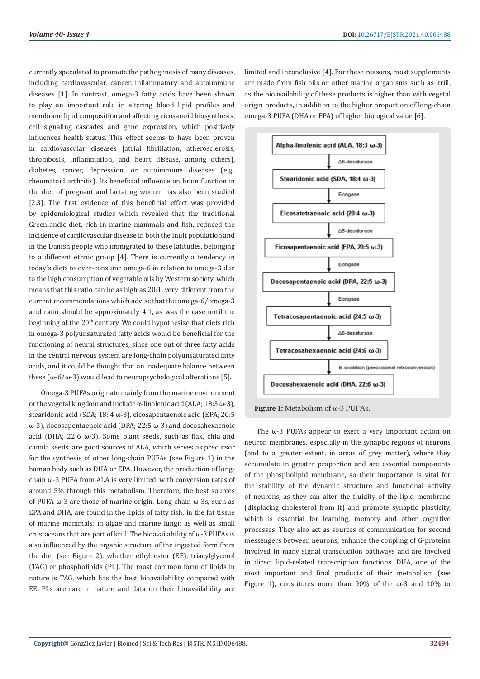currently speculated to promote the pathogenesis of many diseases, including cardiovascular, cancer, inflammatory and autoimmune diseases [1]. In contrast, omega-3 fatty acids have been shown to play an important role in altering blood lipid profiles and membrane lipid composition and affecting eicosanoid biosynthesis, cell signaling cascades and gene expression, which positively influences health status. This effect seems to have been proven in cardiovascular diseases [atrial fibrillation, atherosclerosis, thrombosis, inflammation, and heart disease, among others], diabetes, cancer, depression, or autoimmune diseases (e.g., rheumatoid arthritis). Its beneficial influence on brain function in the diet of pregnant and lactating women has also been studied [2,3]. The first evidence of this beneficial effect was provided by epidemiological studies which revealed that the traditional Greenlandic diet, rich in marine mammals and fish, reduced the incidence of cardiovascular disease in both the Inuit population and in the Danish people who immigrated to these latitudes, belonging to a different ethnic group [4]. There is currently a tendency in today's diets to over-consume omega-6 in relation to omega-3 due to the high consumption of vegetable oils by Western society, which means that this ratio can be as high as 20:1, very different from the current recommendations which advise that the omega-6/omega-3 acid ratio should be approximately 4:1, as was the case until the beginning of the 20<sup>th</sup> century. We could hypothesize that diets rich in omega-3 polyunsaturated fatty acids would be beneficial for the functioning of neural structures, since one out of three fatty acids in the central nervous system are long-chain polyunsaturated fatty acids, and it could be thought that an inadequate balance between these ( $\omega$ -6/ $\omega$ -3) would lead to neuropsychological alterations [5].

Omega-3 PUFAs originate mainly from the marine environment or the vegetal kingdom and include α-linolenic acid (ALA; 18:3 ω-3), stearidonic acid (SDA; 18: 4 ω-3), eicosapentaenoic acid (EPA; 20:5 ω-3), docosapentaenoic acid (DPA; 22:5 ω-3) and docosahexaenoic acid (DHA; 22:6 ω-3). Some plant seeds, such as flax, chia and canola seeds, are good sources of ALA, which serves as precursor for the synthesis of other long-chain PUFAs (see Figure 1) in the human body such as DHA or EPA. However, the production of longchain ω-3 PUFA from ALA is very limited, with conversion rates of around 5% through this metabolism. Therefore, the best sources of PUFA ω-3 are those of marine origin. Long-chain ω-3s, such as EPA and DHA, are found in the lipids of fatty fish; in the fat tissue of marine mammals; in algae and marine fungi; as well as small crustaceans that are part of krill. The bioavailability of ω-3 PUFAs is also influenced by the organic structure of the ingested form from the diet (see Figure 2), whether ethyl ester (EE), triacylglycerol (TAG) or phospholipids (PL). The most common form of lipids in nature is TAG, which has the best bioavailability compared with EE. PLs are rare in nature and data on their bioavailability are

limited and inconclusive [4]. For these reasons, most supplements are made from fish oils or other marine organisms such as krill, as the bioavailability of these products is higher than with vegetal origin products, in addition to the higher proportion of long-chain omega-3 PUFA (DHA or EPA) of higher biological value [6].





The ω-3 PUFAs appear to exert a very important action on neuron membranes, especially in the synaptic regions of neurons (and to a greater extent, in areas of grey matter), where they accumulate in greater proportion and are essential components of the phospholipid membrane, so their importance is vital for the stability of the dynamic structure and functional activity of neurons, as they can alter the fluidity of the lipid membrane (displacing cholesterol from it) and promote synaptic plasticity, which is essential for learning, memory and other cognitive processes. They also act as sources of communication for second messengers between neurons, enhance the coupling of G-proteins involved in many signal transduction pathways and are involved in direct lipid-related transcription functions. DHA, one of the most important and final products of their metabolism (see Figure 1), constitutes more than 90% of the ω-3 and 10% to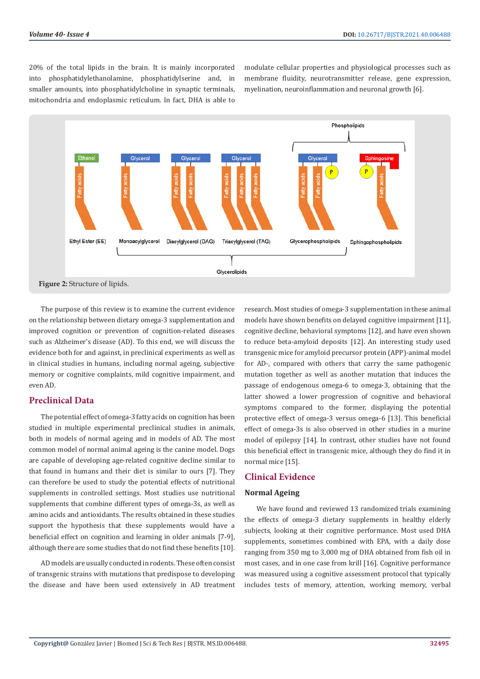20% of the total lipids in the brain. It is mainly incorporated into phosphatidylethanolamine, phosphatidylserine and, in smaller amounts, into phosphatidylcholine in synaptic terminals, mitochondria and endoplasmic reticulum. In fact, DHA is able to

modulate cellular properties and physiological processes such as membrane fluidity, neurotransmitter release, gene expression, myelination, neuroinflammation and neuronal growth [6].



The purpose of this review is to examine the current evidence on the relationship between dietary omega-3 supplementation and improved cognition or prevention of cognition-related diseases such as Alzheimer's disease (AD). To this end, we will discuss the evidence both for and against, in preclinical experiments as well as in clinical studies in humans, including normal ageing, subjective memory or cognitive complaints, mild cognitive impairment, and even AD.

# **Preclinical Data**

The potential effect of omega-3 fatty acids on cognition has been studied in multiple experimental preclinical studies in animals, both in models of normal ageing and in models of AD. The most common model of normal animal ageing is the canine model. Dogs are capable of developing age-related cognitive decline similar to that found in humans and their diet is similar to ours [7]. They can therefore be used to study the potential effects of nutritional supplements in controlled settings. Most studies use nutritional supplements that combine different types of omega-3s, as well as amino acids and antioxidants. The results obtained in these studies support the hypothesis that these supplements would have a beneficial effect on cognition and learning in older animals [7-9], although there are some studies that do not find these benefits [10].

AD models are usually conducted in rodents. These often consist of transgenic strains with mutations that predispose to developing the disease and have been used extensively in AD treatment research. Most studies of omega-3 supplementation in these animal models have shown benefits on delayed cognitive impairment [11], cognitive decline, behavioral symptoms [12], and have even shown to reduce beta-amyloid deposits [12]. An interesting study used transgenic mice for amyloid precursor protein (APP)-animal model for AD-, compared with others that carry the same pathogenic mutation together as well as another mutation that induces the passage of endogenous omega-6 to omega-3, obtaining that the latter showed a lower progression of cognitive and behavioral symptoms compared to the former, displaying the potential protective effect of omega-3 versus omega-6 [13]. This beneficial effect of omega-3s is also observed in other studies in a murine model of epilepsy [14]. In contrast, other studies have not found this beneficial effect in transgenic mice, although they do find it in normal mice [15].

# **Clinical Evidence**

# **Normal Ageing**

We have found and reviewed 13 randomized trials examining the effects of omega-3 dietary supplements in healthy elderly subjects, looking at their cognitive performance. Most used DHA supplements, sometimes combined with EPA, with a daily dose ranging from 350 mg to 3,000 mg of DHA obtained from fish oil in most cases, and in one case from krill [16]. Cognitive performance was measured using a cognitive assessment protocol that typically includes tests of memory, attention, working memory, verbal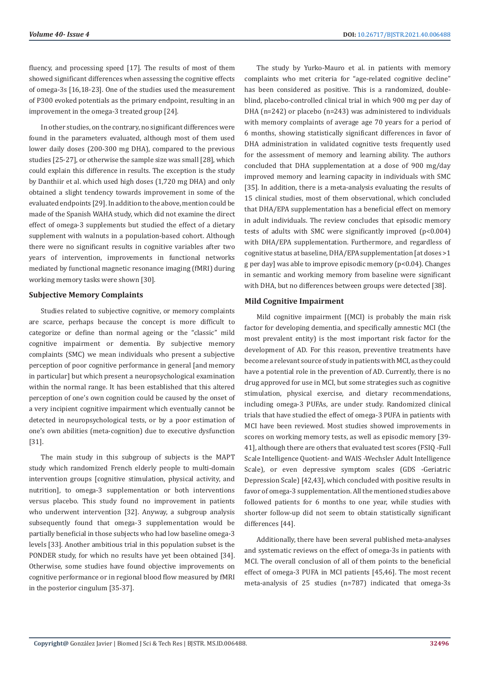fluency, and processing speed [17]. The results of most of them showed significant differences when assessing the cognitive effects of omega-3s [16,18-23]. One of the studies used the measurement of P300 evoked potentials as the primary endpoint, resulting in an improvement in the omega-3 treated group [24].

In other studies, on the contrary, no significant differences were found in the parameters evaluated, although most of them used lower daily doses (200-300 mg DHA), compared to the previous studies [25-27], or otherwise the sample size was small [28], which could explain this difference in results. The exception is the study by Danthiir et al. which used high doses (1,720 mg DHA) and only obtained a slight tendency towards improvement in some of the evaluated endpoints [29]. In addition to the above, mention could be made of the Spanish WAHA study, which did not examine the direct effect of omega-3 supplements but studied the effect of a dietary supplement with walnuts in a population-based cohort. Although there were no significant results in cognitive variables after two years of intervention, improvements in functional networks mediated by functional magnetic resonance imaging (fMRI) during working memory tasks were shown [30].

#### **Subjective Memory Complaints**

Studies related to subjective cognitive, or memory complaints are scarce, perhaps because the concept is more difficult to categorize or define than normal ageing or the "classic" mild cognitive impairment or dementia. By subjective memory complaints (SMC) we mean individuals who present a subjective perception of poor cognitive performance in general [and memory in particular] but which present a neuropsychological examination within the normal range. It has been established that this altered perception of one's own cognition could be caused by the onset of a very incipient cognitive impairment which eventually cannot be detected in neuropsychological tests, or by a poor estimation of one's own abilities (meta-cognition) due to executive dysfunction [31].

The main study in this subgroup of subjects is the MAPT study which randomized French elderly people to multi-domain intervention groups [cognitive stimulation, physical activity, and nutrition], to omega-3 supplementation or both interventions versus placebo. This study found no improvement in patients who underwent intervention [32]. Anyway, a subgroup analysis subsequently found that omega-3 supplementation would be partially beneficial in those subjects who had low baseline omega-3 levels [33]. Another ambitious trial in this population subset is the PONDER study, for which no results have yet been obtained [34]. Otherwise, some studies have found objective improvements on cognitive performance or in regional blood flow measured by fMRI in the posterior cingulum [35-37].

The study by Yurko-Mauro et al. in patients with memory complaints who met criteria for "age-related cognitive decline" has been considered as positive. This is a randomized, doubleblind, placebo-controlled clinical trial in which 900 mg per day of DHA (n=242) or placebo (n=243) was administered to individuals with memory complaints of average age 70 years for a period of 6 months, showing statistically significant differences in favor of DHA administration in validated cognitive tests frequently used for the assessment of memory and learning ability. The authors concluded that DHA supplementation at a dose of 900 mg/day improved memory and learning capacity in individuals with SMC [35]. In addition, there is a meta-analysis evaluating the results of 15 clinical studies, most of them observational, which concluded that DHA/EPA supplementation has a beneficial effect on memory in adult individuals. The review concludes that episodic memory tests of adults with SMC were significantly improved (p<0.004) with DHA/EPA supplementation. Furthermore, and regardless of cognitive status at baseline, DHA/EPA supplementation [at doses >1 g per day] was able to improve episodic memory (p<0.04). Changes in semantic and working memory from baseline were significant with DHA, but no differences between groups were detected [38].

# **Mild Cognitive Impairment**

Mild cognitive impairment [(MCI) is probably the main risk factor for developing dementia, and specifically amnestic MCI (the most prevalent entity) is the most important risk factor for the development of AD. For this reason, preventive treatments have become a relevant source of study in patients with MCI, as they could have a potential role in the prevention of AD. Currently, there is no drug approved for use in MCI, but some strategies such as cognitive stimulation, physical exercise, and dietary recommendations, including omega-3 PUFAs, are under study. Randomized clinical trials that have studied the effect of omega-3 PUFA in patients with MCI have been reviewed. Most studies showed improvements in scores on working memory tests, as well as episodic memory [39- 41], although there are others that evaluated test scores (FSIQ -Full Scale Intelligence Quotient- and WAIS -Wechsler Adult Intelligence Scale), or even depressive symptom scales (GDS -Geriatric Depression Scale) [42,43], which concluded with positive results in favor of omega-3 supplementation. All the mentioned studies above followed patients for 6 months to one year, while studies with shorter follow-up did not seem to obtain statistically significant differences [44].

Additionally, there have been several published meta-analyses and systematic reviews on the effect of omega-3s in patients with MCI. The overall conclusion of all of them points to the beneficial effect of omega-3 PUFA in MCI patients [45,46]. The most recent meta-analysis of 25 studies (n=787) indicated that omega-3s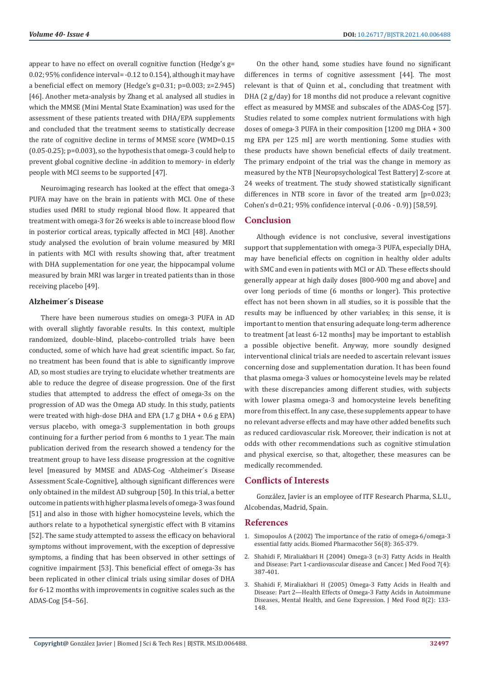appear to have no effect on overall cognitive function (Hedge's g= 0.02; 95% confidence interval= -0.12 to 0.154), although it may have a beneficial effect on memory (Hedge's g=0.31; p=0.003; z=2.945) [46]. Another meta-analysis by Zhang et al. analysed all studies in which the MMSE (Mini Mental State Examination) was used for the assessment of these patients treated with DHA/EPA supplements and concluded that the treatment seems to statistically decrease the rate of cognitive decline in terms of MMSE score (WMD=0.15 (0.05-0.25); p=0.003), so the hypothesis that omega-3 could help to prevent global cognitive decline -in addition to memory- in elderly people with MCI seems to be supported [47].

Neuroimaging research has looked at the effect that omega-3 PUFA may have on the brain in patients with MCI. One of these studies used fMRI to study regional blood flow. It appeared that treatment with omega-3 for 26 weeks is able to increase blood flow in posterior cortical areas, typically affected in MCI [48]. Another study analysed the evolution of brain volume measured by MRI in patients with MCI with results showing that, after treatment with DHA supplementation for one year, the hippocampal volume measured by brain MRI was larger in treated patients than in those receiving placebo [49].

#### **Alzheimer´s Disease**

There have been numerous studies on omega-3 PUFA in AD with overall slightly favorable results. In this context, multiple randomized, double-blind, placebo-controlled trials have been conducted, some of which have had great scientific impact. So far, no treatment has been found that is able to significantly improve AD, so most studies are trying to elucidate whether treatments are able to reduce the degree of disease progression. One of the first studies that attempted to address the effect of omega-3s on the progression of AD was the Omega AD study. In this study, patients were treated with high-dose DHA and EPA (1.7 g DHA + 0.6 g EPA) versus placebo, with omega-3 supplementation in both groups continuing for a further period from 6 months to 1 year. The main publication derived from the research showed a tendency for the treatment group to have less disease progression at the cognitive level [measured by MMSE and ADAS-Cog -Alzheimer´s Disease Assessment Scale-Cognitive], although significant differences were only obtained in the mildest AD subgroup [50]. In this trial, a better outcome in patients with higher plasma levels of omega-3 was found [51] and also in those with higher homocysteine levels, which the authors relate to a hypothetical synergistic effect with B vitamins [52]. The same study attempted to assess the efficacy on behavioral symptoms without improvement, with the exception of depressive symptoms, a finding that has been observed in other settings of cognitive impairment [53]. This beneficial effect of omega-3s has been replicated in other clinical trials using similar doses of DHA for 6-12 months with improvements in cognitive scales such as the ADAS-Cog [54–56].

On the other hand, some studies have found no significant differences in terms of cognitive assessment [44]. The most relevant is that of Quinn et al., concluding that treatment with DHA (2 g/day) for 18 months did not produce a relevant cognitive effect as measured by MMSE and subscales of the ADAS-Cog [57]. Studies related to some complex nutrient formulations with high doses of omega-3 PUFA in their composition [1200 mg DHA + 300 mg EPA per 125 ml] are worth mentioning. Some studies with these products have shown beneficial effects of daily treatment. The primary endpoint of the trial was the change in memory as measured by the NTB [Neuropsychological Test Battery] Z-score at 24 weeks of treatment. The study showed statistically significant differences in NTB score in favor of the treated arm [p=0.023; Cohen's d=0.21; 95% confidence interval (-0.06 - 0.9)) [58,59].

# **Conclusion**

Although evidence is not conclusive, several investigations support that supplementation with omega-3 PUFA, especially DHA, may have beneficial effects on cognition in healthy older adults with SMC and even in patients with MCI or AD. These effects should generally appear at high daily doses [800-900 mg and above] and over long periods of time (6 months or longer). This protective effect has not been shown in all studies, so it is possible that the results may be influenced by other variables; in this sense, it is important to mention that ensuring adequate long-term adherence to treatment [at least 6-12 months] may be important to establish a possible objective benefit. Anyway, more soundly designed interventional clinical trials are needed to ascertain relevant issues concerning dose and supplementation duration. It has been found that plasma omega-3 values or homocysteine levels may be related with these discrepancies among different studies, with subjects with lower plasma omega-3 and homocysteine levels benefiting more from this effect. In any case, these supplements appear to have no relevant adverse effects and may have other added benefits such as reduced cardiovascular risk. Moreover, their indication is not at odds with other recommendations such as cognitive stimulation and physical exercise, so that, altogether, these measures can be medically recommended.

# **Conflicts of Interests**

González, Javier is an employee of ITF Research Pharma, S.L.U., Alcobendas, Madrid, Spain.

#### **References**

- 1. [Simopoulos A \(2002\) The importance of the ratio of omega-6/omega-3](https://linkinghub.elsevier.com/retrieve/pii/S0753332202002536) [essential fatty acids. Biomed Pharmacother 56\(8\): 365-379.](https://linkinghub.elsevier.com/retrieve/pii/S0753332202002536)
- 2. [Shahidi F, Miraliakbari H \(2004\) Omega-3 \(n-3\) Fatty Acids in Health](https://pubmed.ncbi.nlm.nih.gov/15671680/) [and Disease: Part 1-cardiovascular disease and Cancer. J Med Food 7\(4\):](https://pubmed.ncbi.nlm.nih.gov/15671680/) [387-401.](https://pubmed.ncbi.nlm.nih.gov/15671680/)
- 3. [Shahidi F, Miraliakbari H \(2005\) Omega-3 Fatty Acids in Health and](https://pubmed.ncbi.nlm.nih.gov/16117604/) [Disease: Part 2—Health Effects of Omega-3 Fatty Acids in Autoimmune](https://pubmed.ncbi.nlm.nih.gov/16117604/) [Diseases, Mental Health, and Gene Expression. J Med Food 8\(2\): 133-](https://pubmed.ncbi.nlm.nih.gov/16117604/) [148.](https://pubmed.ncbi.nlm.nih.gov/16117604/)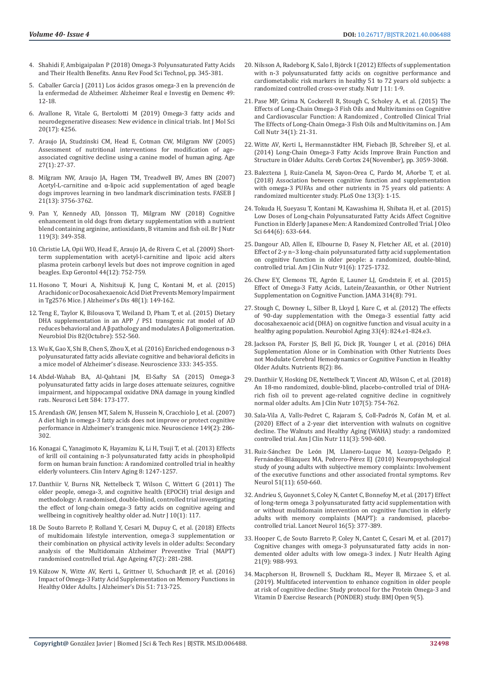- 4. [Shahidi F, Ambigaipalan P \(2018\) Omega-3 Polyunsaturated Fatty Acids](https://pubmed.ncbi.nlm.nih.gov/29350557/)  [and Their Health Benefits. Annu Rev Food Sci Technol, pp. 345-381.](https://pubmed.ncbi.nlm.nih.gov/29350557/)
- 5. Caballer García J (2011) Los ácidos grasos omega-3 en la prevención de la enfermedad de Alzheimer. Alzheimer Real e Investig en Demenc 49: 12-18.
- 6. [Avallone R, Vitale G, Bertolotti M \(2019\) Omega-3 fatty acids and](https://www.ncbi.nlm.nih.gov/pmc/articles/PMC6747747/)  [neurodegenerative diseases: New evidence in clinical trials. Int J Mol Sci](https://www.ncbi.nlm.nih.gov/pmc/articles/PMC6747747/)  [20\(17\): 4256.](https://www.ncbi.nlm.nih.gov/pmc/articles/PMC6747747/)
- 7. [Araujo JA, Studzinski CM, Head E, Cotman CW, Milgram NW \(2005\)](https://pubmed.ncbi.nlm.nih.gov/23598601/)  [Assessment of nutritional interventions for modification of age](https://pubmed.ncbi.nlm.nih.gov/23598601/)[associated cognitive decline using a canine model of human aging. Age](https://pubmed.ncbi.nlm.nih.gov/23598601/)  [27\(1\): 27-37.](https://pubmed.ncbi.nlm.nih.gov/23598601/)
- 8. [Milgram NW, Araujo JA, Hagen TM, Treadwell BV, Ames BN \(2007\)](https://onlinelibrary.wiley.com/doi/abs/10.1096/fj.07-8531com)  Acetyl-L-carnitine and α[-lipoic acid supplementation of aged beagle](https://onlinelibrary.wiley.com/doi/abs/10.1096/fj.07-8531com)  [dogs improves learning in two landmark discrimination tests. FASEB J](https://onlinelibrary.wiley.com/doi/abs/10.1096/fj.07-8531com)  [21\(13\): 3756-3762.](https://onlinelibrary.wiley.com/doi/abs/10.1096/fj.07-8531com)
- 9. Pan Y, Kennedy AD, Jö[nsson TJ, Milgram NW \(2018\) Cognitive](https://www.cambridge.org/core/product/identifier/S0007114517003464/type/journal_article)  [enhancement in old dogs from dietary supplementation with a nutrient](https://www.cambridge.org/core/product/identifier/S0007114517003464/type/journal_article)  [blend containing arginine, antioxidants, B vitamins and fish oil. Br J Nutr](https://www.cambridge.org/core/product/identifier/S0007114517003464/type/journal_article)  [119\(3\): 349-358.](https://www.cambridge.org/core/product/identifier/S0007114517003464/type/journal_article)
- 10. [Christie LA, Opii WO, Head E, Araujo JA, de Rivera C, et al. \(2009\) Short](https://linkinghub.elsevier.com/retrieve/pii/S0531556509001697)[term supplementation with acetyl-l-carnitine and lipoic acid alters](https://linkinghub.elsevier.com/retrieve/pii/S0531556509001697)  [plasma protein carbonyl levels but does not improve cognition in aged](https://linkinghub.elsevier.com/retrieve/pii/S0531556509001697)  [beagles. Exp Gerontol 44\(12\): 752-759.](https://linkinghub.elsevier.com/retrieve/pii/S0531556509001697)
- 11. [Hosono T, Mouri A, Nishitsuji K, Jung C, Kontani M, et al. \(2015\)](https://www.researchgate.net/publication/282153451_Arachidonic_or_Docosahexaenoic_Acid_Diet_Prevents_Memory_Impairment_in_Tg2576_Mice)  [Arachidonic or Docosahexaenoic Acid Diet Prevents Memory Impairment](https://www.researchgate.net/publication/282153451_Arachidonic_or_Docosahexaenoic_Acid_Diet_Prevents_Memory_Impairment_in_Tg2576_Mice)  [in Tg2576 Mice. J Alzheimer's Dis 48\(1\): 149-162.](https://www.researchgate.net/publication/282153451_Arachidonic_or_Docosahexaenoic_Acid_Diet_Prevents_Memory_Impairment_in_Tg2576_Mice)
- 12. [Teng E, Taylor K, Bilousova T, Weiland D, Pham T, et al. \(2015\) Dietary](https://pubmed.ncbi.nlm.nih.gov/26369878/)  [DHA supplementation in an APP / PS1 transgenic rat model of AD](https://pubmed.ncbi.nlm.nih.gov/26369878/)  reduces behavioral and A β [pathology and modulates A](https://pubmed.ncbi.nlm.nih.gov/26369878/) β oligomerization. [Neurobiol Dis 82\(Octubre\): 552-560.](https://pubmed.ncbi.nlm.nih.gov/26369878/)
- 13. [Wu K, Gao X, Shi B, Chen S, Zhou X, et al. \(2016\) Enriched endogenous n-3](https://pubmed.ncbi.nlm.nih.gov/27474225/)  [polyunsaturated fatty acids alleviate cognitive and behavioral deficits in](https://pubmed.ncbi.nlm.nih.gov/27474225/)  [a mice model of Alzheimer's disease. Neuroscience 333: 345-355.](https://pubmed.ncbi.nlm.nih.gov/27474225/)
- 14. [Abdel-Wahab BA, Al-Qahtani JM, El-Safty SA \(2015\) Omega-3](https://www.researchgate.net/publication/266974013_Omega-3_polyunsaturated_fatty_acids_in_large_doses_attenuate_seizures_cognitive_impairment_and_hippocampal_oxidative_DNA_damage_in_young_kindled_rats)  [polyunsaturated fatty acids in large doses attenuate seizures, cognitive](https://www.researchgate.net/publication/266974013_Omega-3_polyunsaturated_fatty_acids_in_large_doses_attenuate_seizures_cognitive_impairment_and_hippocampal_oxidative_DNA_damage_in_young_kindled_rats)  [impairment, and hippocampal oxidative DNA damage in young kindled](https://www.researchgate.net/publication/266974013_Omega-3_polyunsaturated_fatty_acids_in_large_doses_attenuate_seizures_cognitive_impairment_and_hippocampal_oxidative_DNA_damage_in_young_kindled_rats)  [rats. Neurosci Lett 584: 173-177.](https://www.researchgate.net/publication/266974013_Omega-3_polyunsaturated_fatty_acids_in_large_doses_attenuate_seizures_cognitive_impairment_and_hippocampal_oxidative_DNA_damage_in_young_kindled_rats)
- 15. [Arendash GW, Jensen MT, Salem N, Hussein N, Cracchiolo J, et al. \(2007\)](https://pubmed.ncbi.nlm.nih.gov/17904756/)  [A diet high in omega-3 fatty acids does not improve or protect cognitive](https://pubmed.ncbi.nlm.nih.gov/17904756/)  [performance in Alzheimer's transgenic mice. Neuroscience 149\(2\): 286-](https://pubmed.ncbi.nlm.nih.gov/17904756/) [302.](https://pubmed.ncbi.nlm.nih.gov/17904756/)
- 16. [Konagai C, Yanagimoto K, Hayamizu K, Li H, Tsuji T, et al. \(2013\) Effects](https://pubmed.ncbi.nlm.nih.gov/24098072/)  [of krill oil containing n-3 polyunsaturated fatty acids in phospholipid](https://pubmed.ncbi.nlm.nih.gov/24098072/)  [form on human brain function: A randomized controlled trial in healthy](https://pubmed.ncbi.nlm.nih.gov/24098072/)  [elderly volunteers. Clin Interv Aging 8: 1247-1257.](https://pubmed.ncbi.nlm.nih.gov/24098072/)
- 17. [Danthiir V, Burns NR, Nettelbeck T, Wilson C, Wittert G \(2011\) The](http://nutritionj.biomedcentral.com/articles/10.1186/1475-2891-10-117)  [older people, omega-3, and cognitive health \(EPOCH\) trial design and](http://nutritionj.biomedcentral.com/articles/10.1186/1475-2891-10-117)  [methodology: A randomised, double-blind, controlled trial investigating](http://nutritionj.biomedcentral.com/articles/10.1186/1475-2891-10-117)  [the effect of long-chain omega-3 fatty acids on cognitive ageing and](http://nutritionj.biomedcentral.com/articles/10.1186/1475-2891-10-117)  [wellbeing in cognitively healthy older ad. Nutr J 10\(1\): 117.](http://nutritionj.biomedcentral.com/articles/10.1186/1475-2891-10-117)
- 18. [De Souto Barreto P, Rolland Y, Cesari M, Dupuy C, et al. \(2018\) Effects](https://pubmed.ncbi.nlm.nih.gov/29136094/)  [of multidomain lifestyle intervention, omega-3 supplementation or](https://pubmed.ncbi.nlm.nih.gov/29136094/)  [their combination on physical activity levels in older adults: Secondary](https://pubmed.ncbi.nlm.nih.gov/29136094/)  [analysis of the Multidomain Alzheimer Preventive Trial \(MAPT\)](https://pubmed.ncbi.nlm.nih.gov/29136094/)  [randomised controlled trial. Age Ageing 47\(2\): 281-288.](https://pubmed.ncbi.nlm.nih.gov/29136094/)
- 19. [Külzow N, Witte AV, Kerti L, Grittner U, Schuchardt JP, et al. \(2016\)](https://pubmed.ncbi.nlm.nih.gov/26890759/)  [Impact of Omega-3 Fatty Acid Supplementation on Memory Functions in](https://pubmed.ncbi.nlm.nih.gov/26890759/)  [Healthy Older Adults. J Alzheimer's Dis 51: 713-725.](https://pubmed.ncbi.nlm.nih.gov/26890759/)
- 20. Nilsson A, Radeborg K, Salo I, Bjö[rck I \(2012\) Effects of supplementation](https://pubmed.ncbi.nlm.nih.gov/23173831/) [with n-3 polyunsaturated fatty acids on cognitive performance and](https://pubmed.ncbi.nlm.nih.gov/23173831/) [cardiometabolic risk markers in healthy 51 to 72 years old subjects: a](https://pubmed.ncbi.nlm.nih.gov/23173831/) [randomized controlled cross-over study. Nutr J 11: 1-9.](https://pubmed.ncbi.nlm.nih.gov/23173831/)
- 21. [Pase MP, Grima N, Cockerell R, Stough C, Scholey A, et al. \(2015\) The](https://pubmed.ncbi.nlm.nih.gov/25565485/) [Effects of Long-Chain Omega-3 Fish Oils and Multivitamins on Cognitive](https://pubmed.ncbi.nlm.nih.gov/25565485/) [and Cardiovascular Function: A Randomized , Controlled Clinical Trial](https://pubmed.ncbi.nlm.nih.gov/25565485/) [The Effects of Long-Chain Omega-3 Fish Oils and Multivitamins on. J Am](https://pubmed.ncbi.nlm.nih.gov/25565485/) [Coll Nutr 34\(1\): 21-31.](https://pubmed.ncbi.nlm.nih.gov/25565485/)
- 22. Witte AV, Kerti L, Hermannstä[dter HM, Fiebach JB, Schreiber SJ, et al.](https://pubmed.ncbi.nlm.nih.gov/23796946/) [\(2014\) Long-Chain Omega-3 Fatty Acids Improve Brain Function and](https://pubmed.ncbi.nlm.nih.gov/23796946/) [Structure in Older Adults. Cereb Cortex 24\(November\), pp. 3059-3068.](https://pubmed.ncbi.nlm.nih.gov/23796946/)
- 23. [Baleztena J, Ruiz-Canela M, Sayon-Orea C, Pardo M, A](https://pubmed.ncbi.nlm.nih.gov/29579102/)ñorbe T, et al. [\(2018\) Association between cognitive function and supplementation](https://pubmed.ncbi.nlm.nih.gov/29579102/) [with omega-3 PUFAs and other nutrients in 75 years old patients: A](https://pubmed.ncbi.nlm.nih.gov/29579102/) [randomized multicenter study. PLoS One 13\(3\): 1-15.](https://pubmed.ncbi.nlm.nih.gov/29579102/)
- 24. [Tokuda H, Sueyasu T, Kontani M, Kawashima H, Shibata H, et al. \(2015\)](https://pubmed.ncbi.nlm.nih.gov/25891115/) [Low Doses of Long-chain Polyunsaturated Fatty Acids Affect Cognitive](https://pubmed.ncbi.nlm.nih.gov/25891115/) [Function in Elderly Japanese Men: A Randomized Controlled Trial. J Oleo](https://pubmed.ncbi.nlm.nih.gov/25891115/) [Sci 644\(6\): 633-644.](https://pubmed.ncbi.nlm.nih.gov/25891115/)
- 25. [Dangour AD, Allen E, Elbourne D, Fasey N, Fletcher AE, et al. \(2010\)](https://academic.oup.com/ajcn/article/91/6/1725/4597342) [Effect of 2-y n−3 long-chain polyunsaturated fatty acid supplementation](https://academic.oup.com/ajcn/article/91/6/1725/4597342) [on cognitive function in older people: a randomized, double-blind,](https://academic.oup.com/ajcn/article/91/6/1725/4597342) [controlled trial. Am J Clin Nutr 91\(6\): 1725-1732.](https://academic.oup.com/ajcn/article/91/6/1725/4597342)
- 26. Chew EY, Clemons TE, Agró[n E, Launer LJ, Grodstein F, et al. \(2015\)](http://jama.jamanetwork.com/article.aspx?doi=10.1001/jama.2015.9677) [Effect of Omega-3 Fatty Acids, Lutein/Zeaxanthin, or Other Nutrient](http://jama.jamanetwork.com/article.aspx?doi=10.1001/jama.2015.9677) [Supplementation on Cognitive Function. JAMA 314\(8\): 791.](http://jama.jamanetwork.com/article.aspx?doi=10.1001/jama.2015.9677)
- 27. [Stough C, Downey L, Silber B, Lloyd J, Kure C, et al. \(2012\) The effects](https://pubmed.ncbi.nlm.nih.gov/21531481/) [of 90-day supplementation with the Omega-3 essential fatty acid](https://pubmed.ncbi.nlm.nih.gov/21531481/) [docosahexaenoic acid \(DHA\) on cognitive function and visual acuity in a](https://pubmed.ncbi.nlm.nih.gov/21531481/) [healthy aging population. Neurobiol Aging 33\(4\): 824.e1-824.e3.](https://pubmed.ncbi.nlm.nih.gov/21531481/)
- 28. [Jackson PA, Forster JS, Bell JG, Dick JR, Younger I, et al. \(2016\) DHA](https://pubmed.ncbi.nlm.nih.gov/26867200/) [Supplementation Alone or in Combination with Other Nutrients Does](https://pubmed.ncbi.nlm.nih.gov/26867200/) [not Modulate Cerebral Hemodynamics or Cognitive Function in Healthy](https://pubmed.ncbi.nlm.nih.gov/26867200/) [Older Adults. Nutrients 8\(2\): 86.](https://pubmed.ncbi.nlm.nih.gov/26867200/)
- 29. [Danthiir V, Hosking DE, Nettelbeck T, Vincent AD, Wilson C, et al. \(2018\)](https://pubmed.ncbi.nlm.nih.gov/29722833/) [An 18-mo randomized, double-blind, placebo-controlled trial of DHA](https://pubmed.ncbi.nlm.nih.gov/29722833/)[rich fish oil to prevent age-related cognitive decline in cognitively](https://pubmed.ncbi.nlm.nih.gov/29722833/) [normal older adults. Am J Clin Nutr 107\(5\): 754-762.](https://pubmed.ncbi.nlm.nih.gov/29722833/)
- 30. [Sala-Vila A, Valls-Pedret C, Rajaram S, Coll-Padr](https://academic.oup.com/ajcn/article/111/3/590/5698105)ós N, Cofán M, et al. [\(2020\) Effect of a 2-year diet intervention with walnuts on cognitive](https://academic.oup.com/ajcn/article/111/3/590/5698105) [decline. The Walnuts and Healthy Aging \(WAHA\) study: a randomized](https://academic.oup.com/ajcn/article/111/3/590/5698105) [controlled trial. Am J Clin Nutr 111\(3\): 590-600.](https://academic.oup.com/ajcn/article/111/3/590/5698105)
- 31. Ruiz-Sánchez De Leó[n JM, Llanero-Luque M, Lozoya-Delgado P,](https://pubmed.ncbi.nlm.nih.gov/21108227/) Fernández-Blázquez MA, Pedrero-Pé[rez EJ \(2010\) Neuropsychological](https://pubmed.ncbi.nlm.nih.gov/21108227/) [study of young adults with subjective memory complaints: Involvement](https://pubmed.ncbi.nlm.nih.gov/21108227/) [of the executive functions and other associated frontal symptoms. Rev](https://pubmed.ncbi.nlm.nih.gov/21108227/) [Neurol 51\(11\): 650-660.](https://pubmed.ncbi.nlm.nih.gov/21108227/)
- 32. [Andrieu S, Guyonnet S, Coley N, Cantet C, Bonnefoy M, et al. \(2017\) Effect](https://pubmed.ncbi.nlm.nih.gov/28359749/) [of long-term omega 3 polyunsaturated fatty acid supplementation with](https://pubmed.ncbi.nlm.nih.gov/28359749/) [or without multidomain intervention on cognitive function in elderly](https://pubmed.ncbi.nlm.nih.gov/28359749/) [adults with memory complaints \(MAPT\): a randomised, placebo](https://pubmed.ncbi.nlm.nih.gov/28359749/)[controlled trial. Lancet Neurol 16\(5\): 377-389.](https://pubmed.ncbi.nlm.nih.gov/28359749/)
- 33. [Hooper C, de Souto Barreto P, Coley N, Cantet C, Cesari M, et al. \(2017\)](http://link.springer.com/10.1007/s12603-017-0957-5) [Cognitive changes with omega-3 polyunsaturated fatty acids in non](http://link.springer.com/10.1007/s12603-017-0957-5)[demented older adults with low omega-3 index. J Nutr Health Aging](http://link.springer.com/10.1007/s12603-017-0957-5) [21\(9\): 988-993.](http://link.springer.com/10.1007/s12603-017-0957-5)
- 34. [Macpherson H, Brownell S, Duckham RL, Meyer B, Mirzaee S, et al.](https://pubmed.ncbi.nlm.nih.gov/31072850/) [\(2019\). Multifaceted intervention to enhance cognition in older people](https://pubmed.ncbi.nlm.nih.gov/31072850/) [at risk of cognitive decline: Study protocol for the Protein Omega-3 and](https://pubmed.ncbi.nlm.nih.gov/31072850/) [Vitamin D Exercise Research \(PONDER\) study. BMJ Open 9\(5\).](https://pubmed.ncbi.nlm.nih.gov/31072850/)